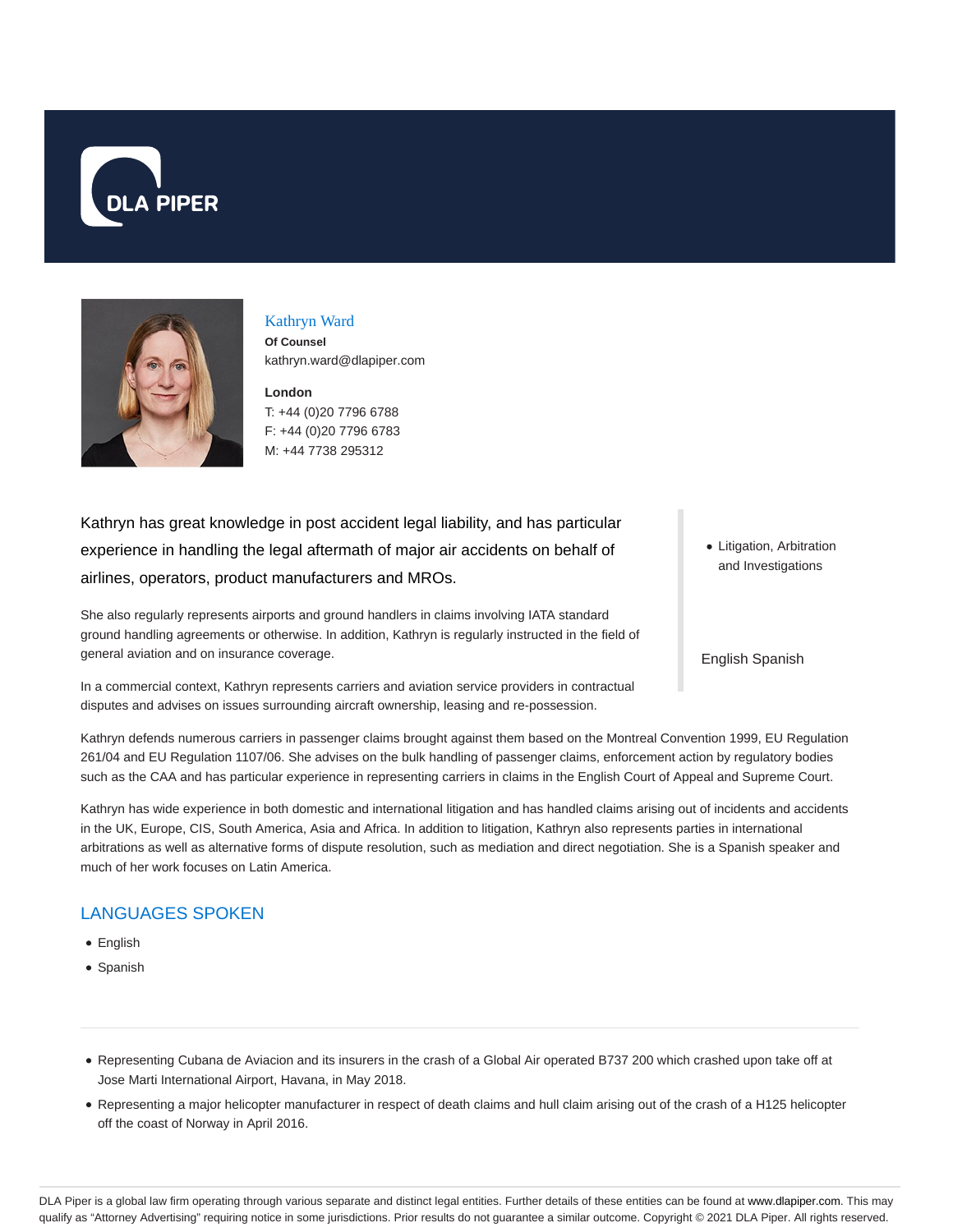



# Kathryn Ward

**Of Counsel** kathryn.ward@dlapiper.com

**London** T: +44 (0)20 7796 6788 F: +44 (0)20 7796 6783 M: +44 7738 295312

Kathryn has great knowledge in post accident legal liability, and has particular experience in handling the legal aftermath of major air accidents on behalf of airlines, operators, product manufacturers and MROs.

She also regularly represents airports and ground handlers in claims involving IATA standard ground handling agreements or otherwise. In addition, Kathryn is regularly instructed in the field of general aviation and on insurance coverage.

In a commercial context, Kathryn represents carriers and aviation service providers in contractual disputes and advises on issues surrounding aircraft ownership, leasing and re-possession.

Kathryn defends numerous carriers in passenger claims brought against them based on the Montreal Convention 1999, EU Regulation 261/04 and EU Regulation 1107/06. She advises on the bulk handling of passenger claims, enforcement action by regulatory bodies

such as the CAA and has particular experience in representing carriers in claims in the English Court of Appeal and Supreme Court.

Kathryn has wide experience in both domestic and international litigation and has handled claims arising out of incidents and accidents in the UK, Europe, CIS, South America, Asia and Africa. In addition to litigation, Kathryn also represents parties in international arbitrations as well as alternative forms of dispute resolution, such as mediation and direct negotiation. She is a Spanish speaker and much of her work focuses on Latin America.

# LANGUAGES SPOKEN

- English
- Spanish
- Representing Cubana de Aviacion and its insurers in the crash of a Global Air operated B737 200 which crashed upon take off at Jose Marti International Airport, Havana, in May 2018.
- Representing a major helicopter manufacturer in respect of death claims and hull claim arising out of the crash of a H125 helicopter off the coast of Norway in April 2016.

• Litigation, Arbitration and Investigations

English Spanish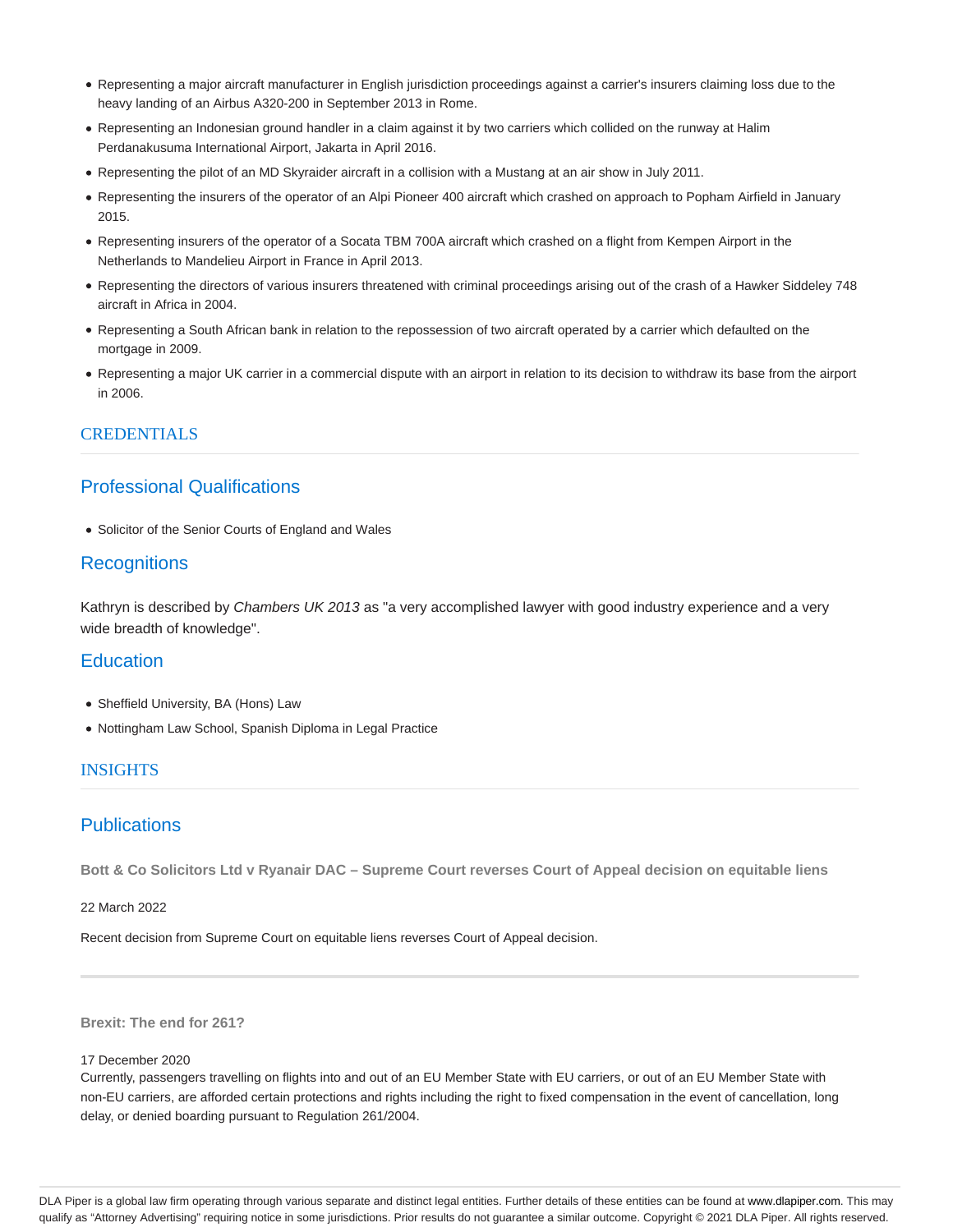- Representing a major aircraft manufacturer in English jurisdiction proceedings against a carrier's insurers claiming loss due to the heavy landing of an Airbus A320-200 in September 2013 in Rome.
- Representing an Indonesian ground handler in a claim against it by two carriers which collided on the runway at Halim Perdanakusuma International Airport, Jakarta in April 2016.
- Representing the pilot of an MD Skyraider aircraft in a collision with a Mustang at an air show in July 2011.
- Representing the insurers of the operator of an Alpi Pioneer 400 aircraft which crashed on approach to Popham Airfield in January 2015.
- Representing insurers of the operator of a Socata TBM 700A aircraft which crashed on a flight from Kempen Airport in the Netherlands to Mandelieu Airport in France in April 2013.
- Representing the directors of various insurers threatened with criminal proceedings arising out of the crash of a Hawker Siddeley 748 aircraft in Africa in 2004.
- Representing a South African bank in relation to the repossession of two aircraft operated by a carrier which defaulted on the mortgage in 2009.
- Representing a major UK carrier in a commercial dispute with an airport in relation to its decision to withdraw its base from the airport in 2006.

### **CREDENTIALS**

## Professional Qualifications

• Solicitor of the Senior Courts of England and Wales

### **Recognitions**

Kathryn is described by Chambers UK 2013 as "a very accomplished lawyer with good industry experience and a very wide breadth of knowledge".

### **Education**

- Sheffield University, BA (Hons) Law
- Nottingham Law School, Spanish Diploma in Legal Practice

### INSIGHTS

# **Publications**

**Bott & Co Solicitors Ltd v Ryanair DAC – Supreme Court reverses Court of Appeal decision on equitable liens**

22 March 2022

Recent decision from Supreme Court on equitable liens reverses Court of Appeal decision.

**Brexit: The end for 261?**

#### 17 December 2020

Currently, passengers travelling on flights into and out of an EU Member State with EU carriers, or out of an EU Member State with non-EU carriers, are afforded certain protections and rights including the right to fixed compensation in the event of cancellation, long delay, or denied boarding pursuant to Regulation 261/2004.